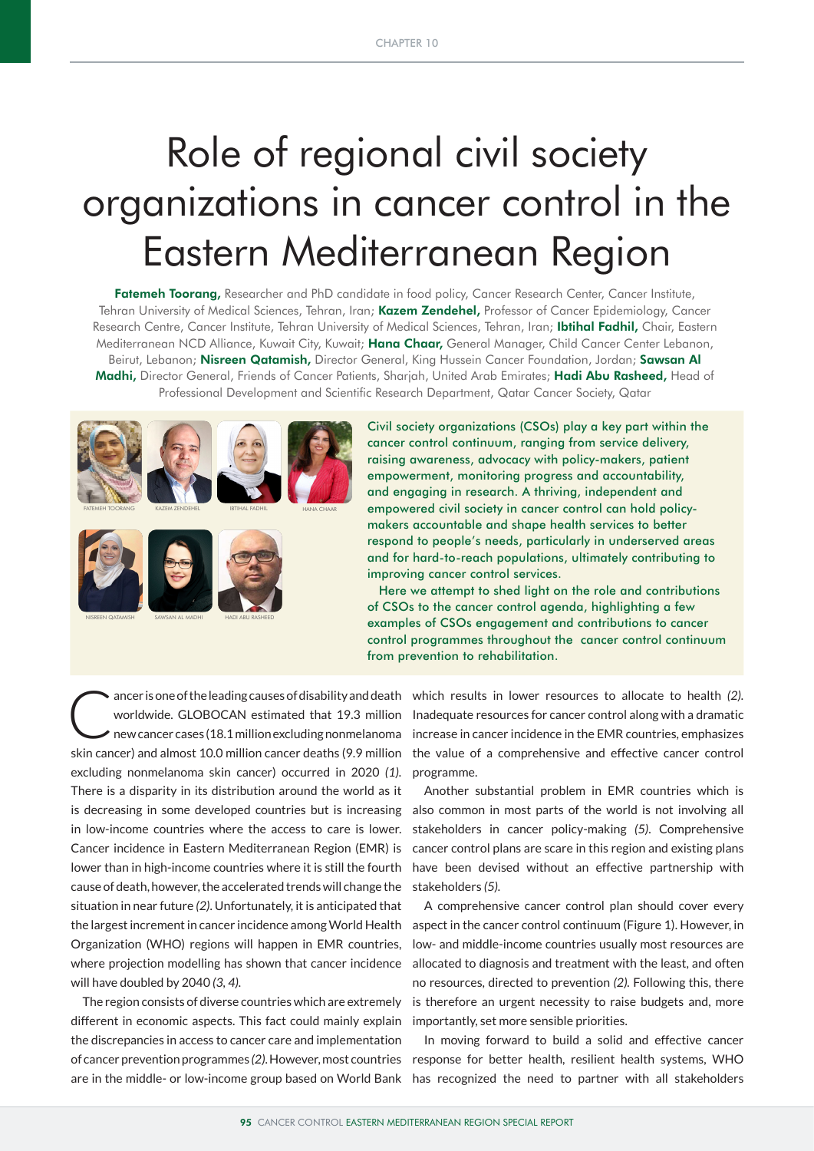# Role of regional civil society organizations in cancer control in the Eastern Mediterranean Region

Fatemeh Toorang, Researcher and PhD candidate in food policy, Cancer Research Center, Cancer Institute, Tehran University of Medical Sciences, Tehran, Iran; Kazem Zendehel, Professor of Cancer Epidemiology, Cancer Research Centre, Cancer Institute, Tehran University of Medical Sciences, Tehran, Iran; Ibtihal Fadhil, Chair, Eastern Mediterranean NCD Alliance, Kuwait City, Kuwait; Hana Chaar, General Manager, Child Cancer Center Lebanon, Beirut, Lebanon; Nisreen Qatamish, Director General, King Hussein Cancer Foundation, Jordan; Sawsan Al Madhi, Director General, Friends of Cancer Patients, Sharjah, United Arab Emirates; Hadi Abu Rasheed, Head of Professional Development and Scientific Research Department, Qatar Cancer Society, Qatar



Civil society organizations (CSOs) play a key part within the cancer control continuum, ranging from service delivery, raising awareness, advocacy with policy-makers, patient empowerment, monitoring progress and accountability, and engaging in research. A thriving, independent and empowered civil society in cancer control can hold policymakers accountable and shape health services to better respond to people's needs, particularly in underserved areas and for hard-to-reach populations, ultimately contributing to improving cancer control services.

 Here we attempt to shed light on the role and contributions of CSOs to the cancer control agenda, highlighting a few examples of CSOs engagement and contributions to cancer control programmes throughout the cancer control continuum from prevention to rehabilitation.

ancer is one of the leading causes of disability and death which results in lower resources to allocate to health (2).<br>worldwide. GLOBOCAN estimated that 19.3 million Inadequate resources for cancer control along with a dr worldwide. GLOBOCAN estimated that 19.3 million new cancer cases (18.1 million excluding nonmelanoma skin cancer) and almost 10.0 million cancer deaths (9.9 million excluding nonmelanoma skin cancer) occurred in 2020 *(1).* There is a disparity in its distribution around the world as it is decreasing in some developed countries but is increasing in low-income countries where the access to care is lower. Cancer incidence in Eastern Mediterranean Region (EMR) is lower than in high-income countries where it is still the fourth cause of death, however, the accelerated trends will change the situation in near future *(2)*. Unfortunately, it is anticipated that the largest increment in cancer incidence among World Health Organization (WHO) regions will happen in EMR countries, where projection modelling has shown that cancer incidence will have doubled by 2040 *(3, 4).*

The region consists of diverse countries which are extremely different in economic aspects. This fact could mainly explain the discrepancies in access to cancer care and implementation of cancer prevention programmes *(2)*. However, most countries are in the middle- or low-income group based on World Bank

Inadequate resources for cancer control along with a dramatic increase in cancer incidence in the EMR countries, emphasizes the value of a comprehensive and effective cancer control programme.

Another substantial problem in EMR countries which is also common in most parts of the world is not involving all stakeholders in cancer policy-making *(5)*. Comprehensive cancer control plans are scare in this region and existing plans have been devised without an effective partnership with stakeholders *(5).*

A comprehensive cancer control plan should cover every aspect in the cancer control continuum (Figure 1). However, in low- and middle-income countries usually most resources are allocated to diagnosis and treatment with the least, and often no resources, directed to prevention *(2).* Following this, there is therefore an urgent necessity to raise budgets and, more importantly, set more sensible priorities.

In moving forward to build a solid and effective cancer response for better health, resilient health systems, WHO has recognized the need to partner with all stakeholders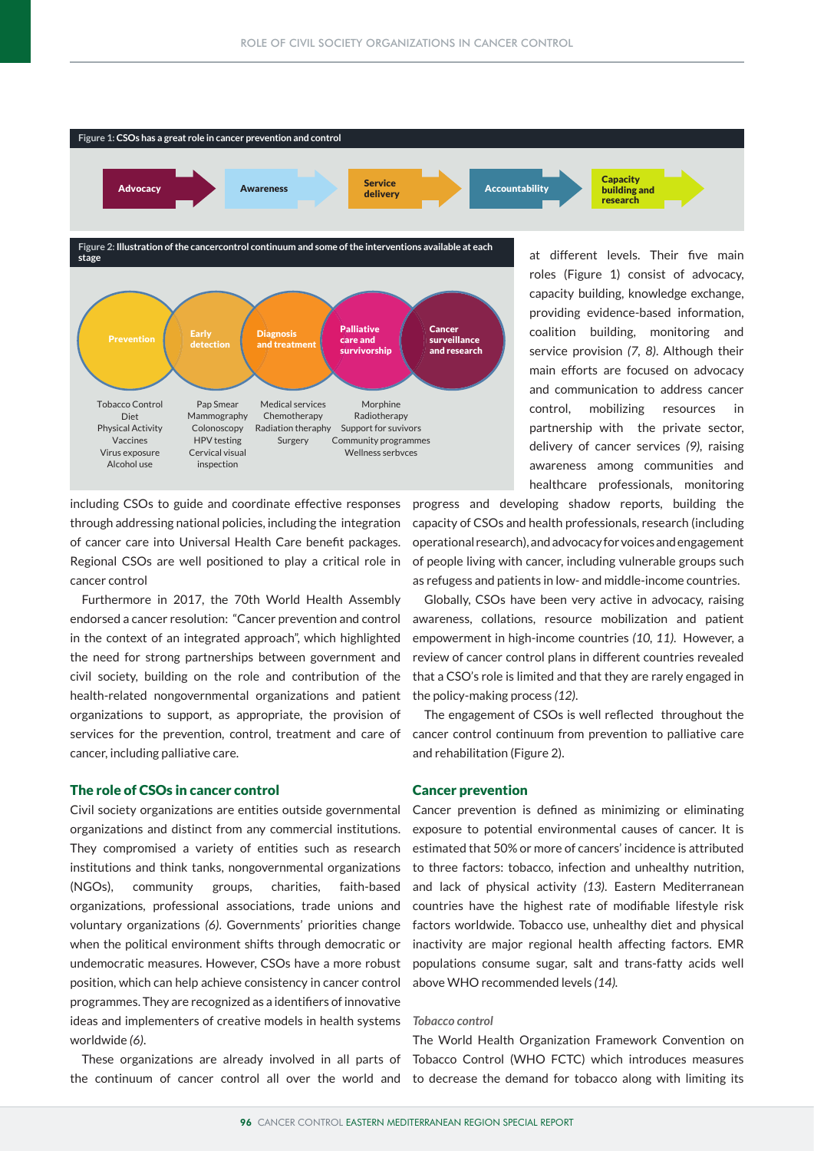

including CSOs to guide and coordinate effective responses through addressing national policies, including the integration of cancer care into Universal Health Care benefit packages. Regional CSOs are well positioned to play a critical role in cancer control

Furthermore in 2017, the 70th World Health Assembly endorsed a cancer resolution: "Cancer prevention and control in the context of an integrated approach", which highlighted the need for strong partnerships between government and civil society, building on the role and contribution of the health-related nongovernmental organizations and patient organizations to support, as appropriate, the provision of services for the prevention, control, treatment and care of cancer, including palliative care.

# The role of CSOs in cancer control

Civil society organizations are entities outside governmental organizations and distinct from any commercial institutions. They compromised a variety of entities such as research institutions and think tanks, nongovernmental organizations (NGOs), community groups, charities, faith-based organizations, professional associations, trade unions and voluntary organizations *(6)*. Governments' priorities change when the political environment shifts through democratic or undemocratic measures. However, CSOs have a more robust position, which can help achieve consistency in cancer control programmes. They are recognized as a identifiers of innovative ideas and implementers of creative models in health systems worldwide *(6)*.

These organizations are already involved in all parts of the continuum of cancer control all over the world and

progress and developing shadow reports, building the capacity of CSOs and health professionals, research (including operational research), and advocacy for voices and engagement of people living with cancer, including vulnerable groups such as refugess and patients in low- and middle-income countries.

Globally, CSOs have been very active in advocacy, raising awareness, collations, resource mobilization and patient empowerment in high-income countries *(10, 11)*. However, a review of cancer control plans in different countries revealed that a CSO's role is limited and that they are rarely engaged in the policy-making process *(12)*.

The engagement of CSOs is well reflected throughout the cancer control continuum from prevention to palliative care and rehabilitation (Figure 2).

## Cancer prevention

Cancer prevention is defined as minimizing or eliminating exposure to potential environmental causes of cancer. It is estimated that 50% or more of cancers' incidence is attributed to three factors: tobacco, infection and unhealthy nutrition, and lack of physical activity *(13)*. Eastern Mediterranean countries have the highest rate of modifiable lifestyle risk factors worldwide. Tobacco use, unhealthy diet and physical inactivity are major regional health affecting factors. EMR populations consume sugar, salt and trans-fatty acids well above WHO recommended levels *(14).*

#### *Tobacco control*

The World Health Organization Framework Convention on Tobacco Control (WHO FCTC) which introduces measures to decrease the demand for tobacco along with limiting its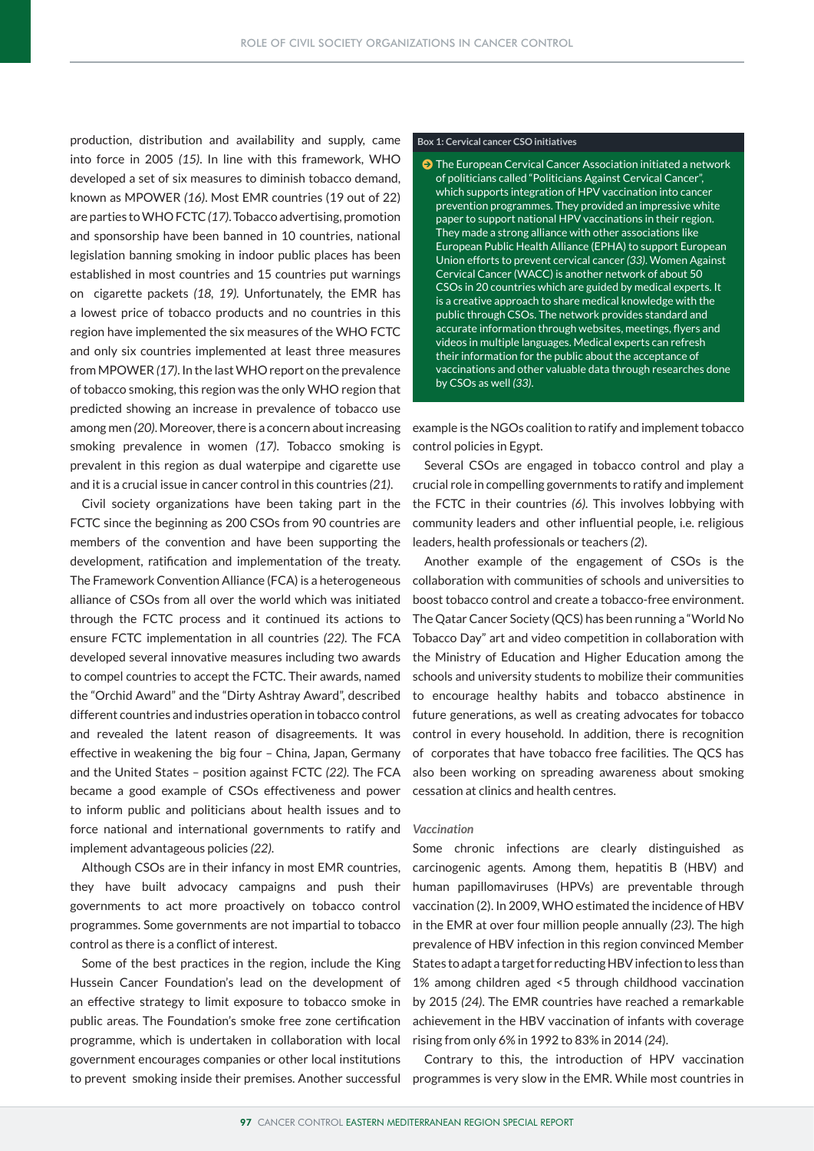production, distribution and availability and supply, came into force in 2005 *(15)*. In line with this framework, WHO developed a set of six measures to diminish tobacco demand, known as MPOWER *(16)*. Most EMR countries (19 out of 22) are parties to WHO FCTC *(17)*. Tobacco advertising, promotion and sponsorship have been banned in 10 countries, national legislation banning smoking in indoor public places has been established in most countries and 15 countries put warnings on cigarette packets *(18, 19).* Unfortunately, the EMR has a lowest price of tobacco products and no countries in this region have implemented the six measures of the WHO FCTC and only six countries implemented at least three measures from MPOWER *(17)*. In the last WHO report on the prevalence of tobacco smoking, this region was the only WHO region that predicted showing an increase in prevalence of tobacco use among men *(20)*. Moreover, there is a concern about increasing smoking prevalence in women *(17)*. Tobacco smoking is prevalent in this region as dual waterpipe and cigarette use and it is a crucial issue in cancer control in this countries *(21)*.

Civil society organizations have been taking part in the FCTC since the beginning as 200 CSOs from 90 countries are members of the convention and have been supporting the development, ratification and implementation of the treaty. The Framework Convention Alliance (FCA) is a heterogeneous alliance of CSOs from all over the world which was initiated through the FCTC process and it continued its actions to ensure FCTC implementation in all countries *(22)*. The FCA developed several innovative measures including two awards to compel countries to accept the FCTC. Their awards, named the "Orchid Award" and the "Dirty Ashtray Award", described different countries and industries operation in tobacco control and revealed the latent reason of disagreements. It was effective in weakening the big four – China, Japan, Germany and the United States – position against FCTC *(22).* The FCA became a good example of CSOs effectiveness and power to inform public and politicians about health issues and to force national and international governments to ratify and implement advantageous policies *(22)*.

Although CSOs are in their infancy in most EMR countries, they have built advocacy campaigns and push their governments to act more proactively on tobacco control programmes. Some governments are not impartial to tobacco control as there is a conflict of interest.

Some of the best practices in the region, include the King Hussein Cancer Foundation's lead on the development of an effective strategy to limit exposure to tobacco smoke in public areas. The Foundation's smoke free zone certification programme, which is undertaken in collaboration with local government encourages companies or other local institutions

## **Box 1: Cervical cancer CSO initiatives**

 $\bullet$  The European Cervical Cancer Association initiated a network of politicians called "Politicians Against Cervical Cancer", which supports integration of HPV vaccination into cancer prevention programmes. They provided an impressive white paper to support national HPV vaccinations in their region. They made a strong alliance with other associations like European Public Health Alliance (EPHA) to support European Union efforts to prevent cervical cancer *(33)*. Women Against Cervical Cancer (WACC) is another network of about 50 CSOs in 20 countries which are guided by medical experts. It is a creative approach to share medical knowledge with the public through CSOs. The network provides standard and accurate information through websites, meetings, flyers and videos in multiple languages. Medical experts can refresh their information for the public about the acceptance of vaccinations and other valuable data through researches done by CSOs as well *(33)*.

example is the NGOs coalition to ratify and implement tobacco control policies in Egypt.

Several CSOs are engaged in tobacco control and play a crucial role in compelling governments to ratify and implement the FCTC in their countries *(6).* This involves lobbying with community leaders and other influential people, i.e. religious leaders, health professionals or teachers *(2*).

Another example of the engagement of CSOs is the collaboration with communities of schools and universities to boost tobacco control and create a tobacco-free environment. The Qatar Cancer Society (QCS) has been running a "World No Tobacco Day" art and video competition in collaboration with the Ministry of Education and Higher Education among the schools and university students to mobilize their communities to encourage healthy habits and tobacco abstinence in future generations, as well as creating advocates for tobacco control in every household. In addition, there is recognition of corporates that have tobacco free facilities. The QCS has also been working on spreading awareness about smoking cessation at clinics and health centres.

### *Vaccination*

Some chronic infections are clearly distinguished as carcinogenic agents. Among them, hepatitis B (HBV) and human papillomaviruses (HPVs) are preventable through vaccination (2). In 2009, WHO estimated the incidence of HBV in the EMR at over four million people annually *(23)*. The high prevalence of HBV infection in this region convinced Member States to adapt a target for reducting HBV infection to less than 1% among children aged <5 through childhood vaccination by 2015 *(24)*. The EMR countries have reached a remarkable achievement in the HBV vaccination of infants with coverage rising from only 6% in 1992 to 83% in 2014 *(24*).

Contrary to this, the introduction of HPV vaccination to prevent smoking inside their premises. Another successful programmes is very slow in the EMR. While most countries in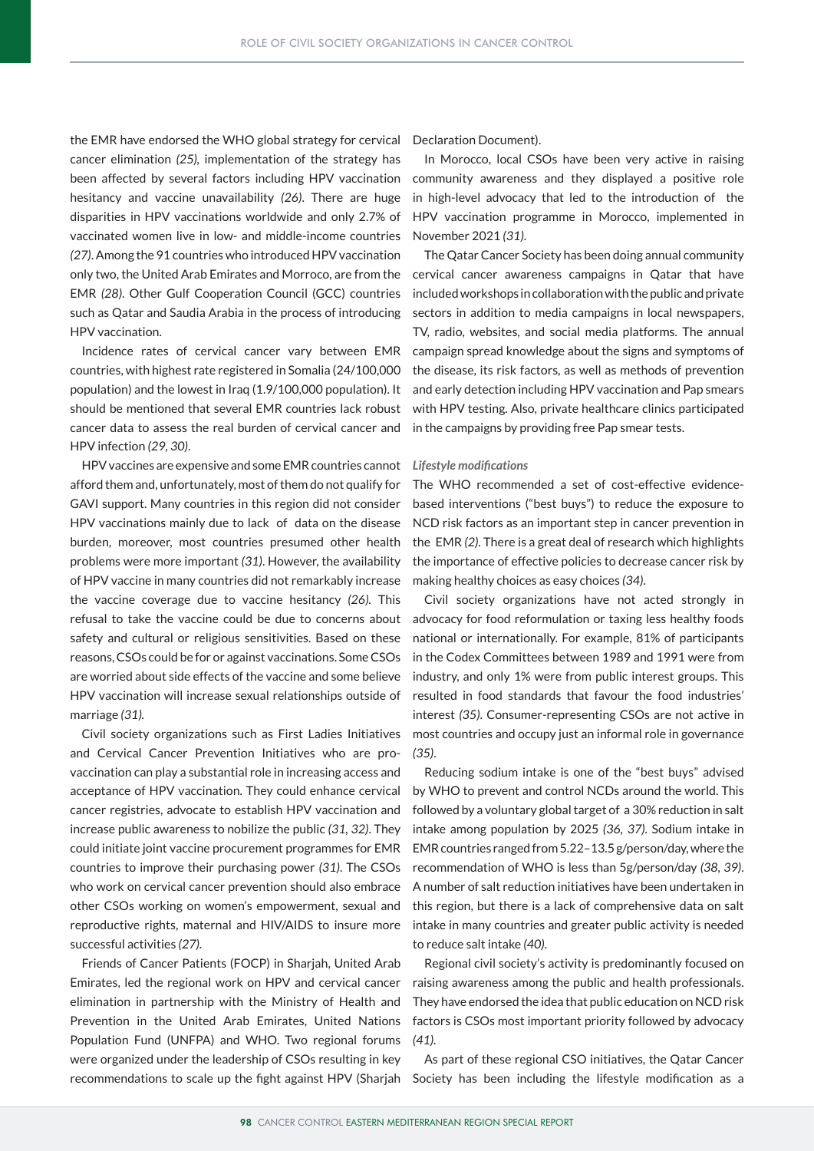the EMR have endorsed the WHO global strategy for cervical cancer elimination *(25),* implementation of the strategy has been affected by several factors including HPV vaccination hesitancy and vaccine unavailability *(26)*. There are huge disparities in HPV vaccinations worldwide and only 2.7% of vaccinated women live in low- and middle-income countries *(27)*. Among the 91 countries who introduced HPV vaccination only two, the United Arab Emirates and Morroco, are from the EMR *(28)*. Other Gulf Cooperation Council (GCC) countries such as Qatar and Saudia Arabia in the process of introducing HPV vaccination.

Incidence rates of cervical cancer vary between EMR countries, with highest rate registered in Somalia (24/100,000 population) and the lowest in Iraq (1.9/100,000 population). It should be mentioned that several EMR countries lack robust cancer data to assess the real burden of cervical cancer and HPV infection *(29, 30)*.

HPV vaccines are expensive and some EMR countries cannot afford them and, unfortunately, most of them do not qualify for GAVI support. Many countries in this region did not consider HPV vaccinations mainly due to lack of data on the disease burden, moreover, most countries presumed other health problems were more important *(31)*. However, the availability of HPV vaccine in many countries did not remarkably increase the vaccine coverage due to vaccine hesitancy *(26).* This refusal to take the vaccine could be due to concerns about safety and cultural or religious sensitivities. Based on these reasons, CSOs could be for or against vaccinations. Some CSOs are worried about side effects of the vaccine and some believe HPV vaccination will increase sexual relationships outside of marriage *(31).*

Civil society organizations such as First Ladies Initiatives and Cervical Cancer Prevention Initiatives who are provaccination can play a substantial role in increasing access and acceptance of HPV vaccination. They could enhance cervical cancer registries, advocate to establish HPV vaccination and increase public awareness to nobilize the public *(31, 32)*. They could initiate joint vaccine procurement programmes for EMR countries to improve their purchasing power *(31)*. The CSOs who work on cervical cancer prevention should also embrace other CSOs working on women's empowerment, sexual and reproductive rights, maternal and HIV/AIDS to insure more successful activities *(27).*

Friends of Cancer Patients (FOCP) in Sharjah, United Arab Emirates, led the regional work on HPV and cervical cancer elimination in partnership with the Ministry of Health and Prevention in the United Arab Emirates, United Nations Population Fund (UNFPA) and WHO. Two regional forums were organized under the leadership of CSOs resulting in key Declaration Document).

In Morocco, local CSOs have been very active in raising community awareness and they displayed a positive role in high-level advocacy that led to the introduction of the HPV vaccination programme in Morocco, implemented in November 2021 *(31)*.

The Qatar Cancer Society has been doing annual community cervical cancer awareness campaigns in Qatar that have included workshops in collaboration with the public and private sectors in addition to media campaigns in local newspapers, TV, radio, websites, and social media platforms. The annual campaign spread knowledge about the signs and symptoms of the disease, its risk factors, as well as methods of prevention and early detection including HPV vaccination and Pap smears with HPV testing. Also, private healthcare clinics participated in the campaigns by providing free Pap smear tests.

#### *Lifestyle modifications*

The WHO recommended a set of cost-effective evidencebased interventions ("best buys") to reduce the exposure to NCD risk factors as an important step in cancer prevention in the EMR *(2).* There is a great deal of research which highlights the importance of effective policies to decrease cancer risk by making healthy choices as easy choices *(34)*.

Civil society organizations have not acted strongly in advocacy for food reformulation or taxing less healthy foods national or internationally. For example, 81% of participants in the Codex Committees between 1989 and 1991 were from industry, and only 1% were from public interest groups. This resulted in food standards that favour the food industries' interest *(35)*. Consumer-representing CSOs are not active in most countries and occupy just an informal role in governance *(35)*.

Reducing sodium intake is one of the "best buys" advised by WHO to prevent and control NCDs around the world. This followed by a voluntary global target of a 30% reduction in salt intake among population by 2025 *(36, 37).* Sodium intake in EMR countries ranged from 5.22–13.5 g/person/day, where the recommendation of WHO is less than 5g/person/day *(38, 39)*. A number of salt reduction initiatives have been undertaken in this region, but there is a lack of comprehensive data on salt intake in many countries and greater public activity is needed to reduce salt intake *(40)*.

Regional civil society's activity is predominantly focused on raising awareness among the public and health professionals. They have endorsed the idea that public education on NCD risk factors is CSOs most important priority followed by advocacy *(41).*

As part of these regional CSO initiatives, the Qatar Cancer recommendations to scale up the fight against HPV (Sharjah Society has been including the lifestyle modification as a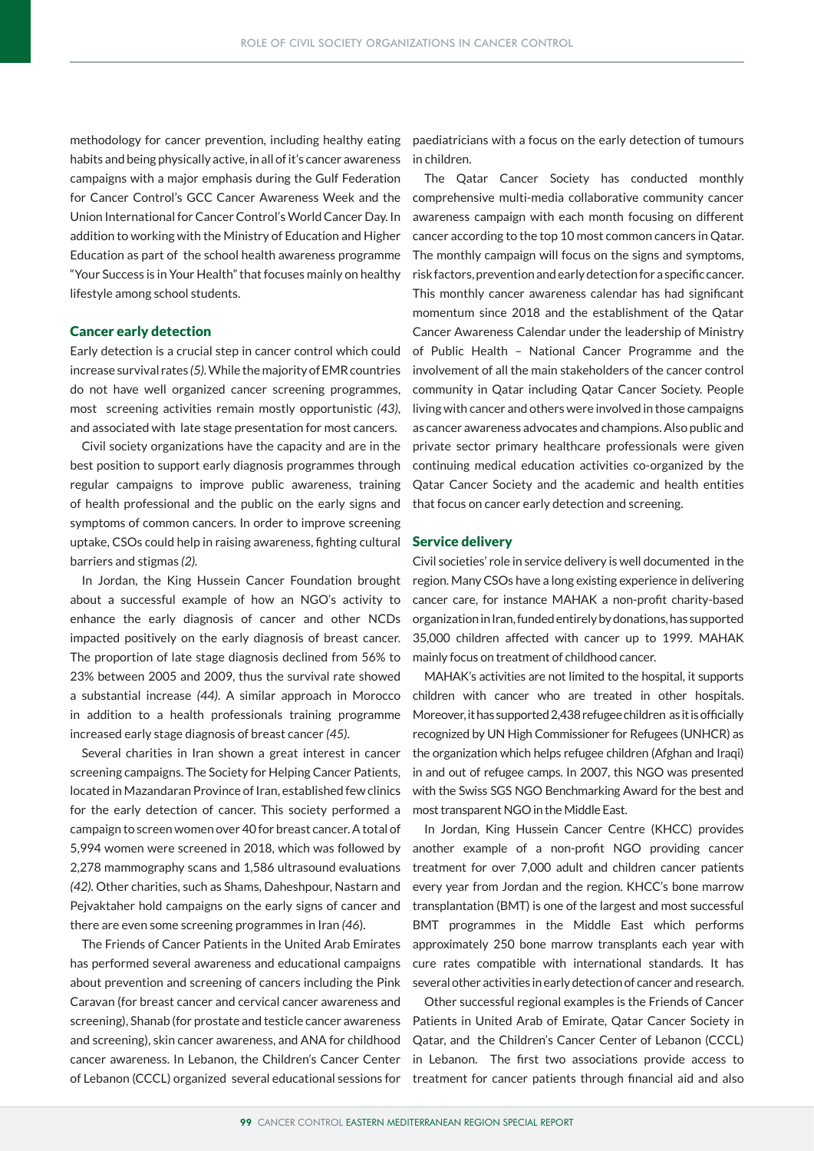habits and being physically active, in all of it's cancer awareness campaigns with a major emphasis during the Gulf Federation for Cancer Control's GCC Cancer Awareness Week and the Union International for Cancer Control's World Cancer Day. In addition to working with the Ministry of Education and Higher Education as part of the school health awareness programme "Your Success is in Your Health" that focuses mainly on healthy lifestyle among school students.

# Cancer early detection

Early detection is a crucial step in cancer control which could increase survival rates *(5).* While the majority of EMR countries do not have well organized cancer screening programmes, most screening activities remain mostly opportunistic *(43)*, and associated with late stage presentation for most cancers.

Civil society organizations have the capacity and are in the best position to support early diagnosis programmes through regular campaigns to improve public awareness, training of health professional and the public on the early signs and symptoms of common cancers. In order to improve screening uptake, CSOs could help in raising awareness, fighting cultural barriers and stigmas *(2).*

In Jordan, the King Hussein Cancer Foundation brought about a successful example of how an NGO's activity to enhance the early diagnosis of cancer and other NCDs impacted positively on the early diagnosis of breast cancer. The proportion of late stage diagnosis declined from 56% to 23% between 2005 and 2009, thus the survival rate showed a substantial increase *(44)*. A similar approach in Morocco in addition to a health professionals training programme increased early stage diagnosis of breast cancer *(45)*.

Several charities in Iran shown a great interest in cancer screening campaigns. The Society for Helping Cancer Patients, located in Mazandaran Province of Iran, established few clinics for the early detection of cancer. This society performed a campaign to screen women over 40 for breast cancer. A total of 5,994 women were screened in 2018, which was followed by 2,278 mammography scans and 1,586 ultrasound evaluations *(42).* Other charities, such as Shams, Daheshpour, Nastarn and Pejvaktaher hold campaigns on the early signs of cancer and there are even some screening programmes in Iran *(46*).

The Friends of Cancer Patients in the United Arab Emirates has performed several awareness and educational campaigns about prevention and screening of cancers including the Pink Caravan (for breast cancer and cervical cancer awareness and screening), Shanab (for prostate and testicle cancer awareness and screening), skin cancer awareness, and ANA for childhood cancer awareness. In Lebanon, the Children's Cancer Center of Lebanon (CCCL) organized several educational sessions for

methodology for cancer prevention, including healthy eating paediatricians with a focus on the early detection of tumours in children.

> The Qatar Cancer Society has conducted monthly comprehensive multi-media collaborative community cancer awareness campaign with each month focusing on different cancer according to the top 10 most common cancers in Qatar. The monthly campaign will focus on the signs and symptoms, risk factors, prevention and early detection for a specific cancer. This monthly cancer awareness calendar has had significant momentum since 2018 and the establishment of the Qatar Cancer Awareness Calendar under the leadership of Ministry of Public Health – National Cancer Programme and the involvement of all the main stakeholders of the cancer control community in Qatar including Qatar Cancer Society. People living with cancer and others were involved in those campaigns as cancer awareness advocates and champions. Also public and private sector primary healthcare professionals were given continuing medical education activities co-organized by the Qatar Cancer Society and the academic and health entities that focus on cancer early detection and screening.

### Service delivery

Civil societies' role in service delivery is well documented in the region. Many CSOs have a long existing experience in delivering cancer care, for instance MAHAK a non-profit charity-based organization in Iran, funded entirely by donations, has supported 35,000 children affected with cancer up to 1999. MAHAK mainly focus on treatment of childhood cancer.

MAHAK's activities are not limited to the hospital, it supports children with cancer who are treated in other hospitals. Moreover, it has supported 2,438 refugee children as it is officially recognized by UN High Commissioner for Refugees (UNHCR) as the organization which helps refugee children (Afghan and Iraqi) in and out of refugee camps. In 2007, this NGO was presented with the Swiss SGS NGO Benchmarking Award for the best and most transparent NGO in the Middle East.

In Jordan, King Hussein Cancer Centre (KHCC) provides another example of a non-profit NGO providing cancer treatment for over 7,000 adult and children cancer patients every year from Jordan and the region. KHCC's bone marrow transplantation (BMT) is one of the largest and most successful BMT programmes in the Middle East which performs approximately 250 bone marrow transplants each year with cure rates compatible with international standards. It has several other activities in early detection of cancer and research.

Other successful regional examples is the Friends of Cancer Patients in United Arab of Emirate, Qatar Cancer Society in Qatar, and the Children's Cancer Center of Lebanon (CCCL) in Lebanon. The first two associations provide access to treatment for cancer patients through financial aid and also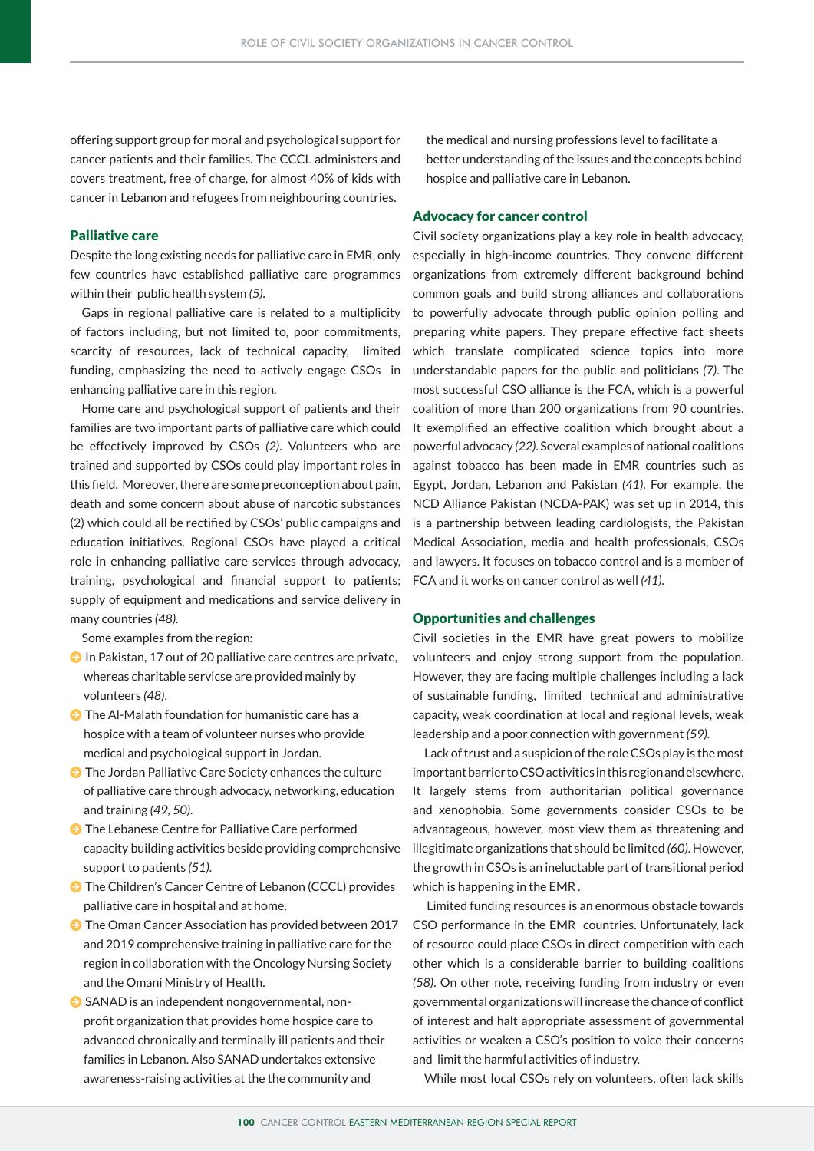offering support group for moral and psychological support for cancer patients and their families. The CCCL administers and covers treatment, free of charge, for almost 40% of kids with cancer in Lebanon and refugees from neighbouring countries.

# Palliative care

Despite the long existing needs for palliative care in EMR, only few countries have established palliative care programmes within their public health system *(5).* 

Gaps in regional palliative care is related to a multiplicity of factors including, but not limited to, poor commitments, scarcity of resources, lack of technical capacity, limited funding, emphasizing the need to actively engage CSOs in enhancing palliative care in this region.

Home care and psychological support of patients and their families are two important parts of palliative care which could be effectively improved by CSOs *(2)*. Volunteers who are trained and supported by CSOs could play important roles in this field. Moreover, there are some preconception about pain, death and some concern about abuse of narcotic substances (2) which could all be rectified by CSOs' public campaigns and education initiatives. Regional CSOs have played a critical role in enhancing palliative care services through advocacy, training, psychological and financial support to patients; supply of equipment and medications and service delivery in many countries *(48).*

Some examples from the region:

- $\Theta$  In Pakistan, 17 out of 20 palliative care centres are private, whereas charitable servicse are provided mainly by volunteers *(48)*.
- $\bullet$  The Al-Malath foundation for humanistic care has a hospice with a team of volunteer nurses who provide medical and psychological support in Jordan.
- $\bullet$  The Jordan Palliative Care Society enhances the culture of palliative care through advocacy, networking, education and training *(49, 50).*
- **I** The Lebanese Centre for Palliative Care performed capacity building activities beside providing comprehensive support to patients *(51)*.
- **J** The Children's Cancer Centre of Lebanon (CCCL) provides palliative care in hospital and at home.
- **D** The Oman Cancer Association has provided between 2017 and 2019 comprehensive training in palliative care for the region in collaboration with the Oncology Nursing Society and the Omani Ministry of Health.
- $\bullet$  SANAD is an independent nongovernmental, nonprofit organization that provides home hospice care to advanced chronically and terminally ill patients and their families in Lebanon. Also SANAD undertakes extensive awareness-raising activities at the the community and

the medical and nursing professions level to facilitate a better understanding of the issues and the concepts behind hospice and palliative care in Lebanon.

# Advocacy for cancer control

Civil society organizations play a key role in health advocacy, especially in high-income countries. They convene different organizations from extremely different background behind common goals and build strong alliances and collaborations to powerfully advocate through public opinion polling and preparing white papers. They prepare effective fact sheets which translate complicated science topics into more understandable papers for the public and politicians *(7)*. The most successful CSO alliance is the FCA, which is a powerful coalition of more than 200 organizations from 90 countries. It exemplified an effective coalition which brought about a powerful advocacy *(22)*. Several examples of national coalitions against tobacco has been made in EMR countries such as Egypt, Jordan, Lebanon and Pakistan *(41)*. For example, the NCD Alliance Pakistan (NCDA-PAK) was set up in 2014, this is a partnership between leading cardiologists, the Pakistan Medical Association, media and health professionals, CSOs and lawyers. It focuses on tobacco control and is a member of FCA and it works on cancer control as well *(41).*

# Opportunities and challenges

Civil societies in the EMR have great powers to mobilize volunteers and enjoy strong support from the population. However, they are facing multiple challenges including a lack of sustainable funding, limited technical and administrative capacity, weak coordination at local and regional levels, weak leadership and a poor connection with government *(59).*

Lack of trust and a suspicion of the role CSOs play is the most important barrier to CSO activities in this region and elsewhere. It largely stems from authoritarian political governance and xenophobia. Some governments consider CSOs to be advantageous, however, most view them as threatening and illegitimate organizations that should be limited *(60)*. However, the growth in CSOs is an ineluctable part of transitional period which is happening in the EMR .

 Limited funding resources is an enormous obstacle towards CSO performance in the EMR countries. Unfortunately, lack of resource could place CSOs in direct competition with each other which is a considerable barrier to building coalitions *(58)*. On other note, receiving funding from industry or even governmental organizations will increase the chance of conflict of interest and halt appropriate assessment of governmental activities or weaken a CSO's position to voice their concerns and limit the harmful activities of industry.

While most local CSOs rely on volunteers, often lack skills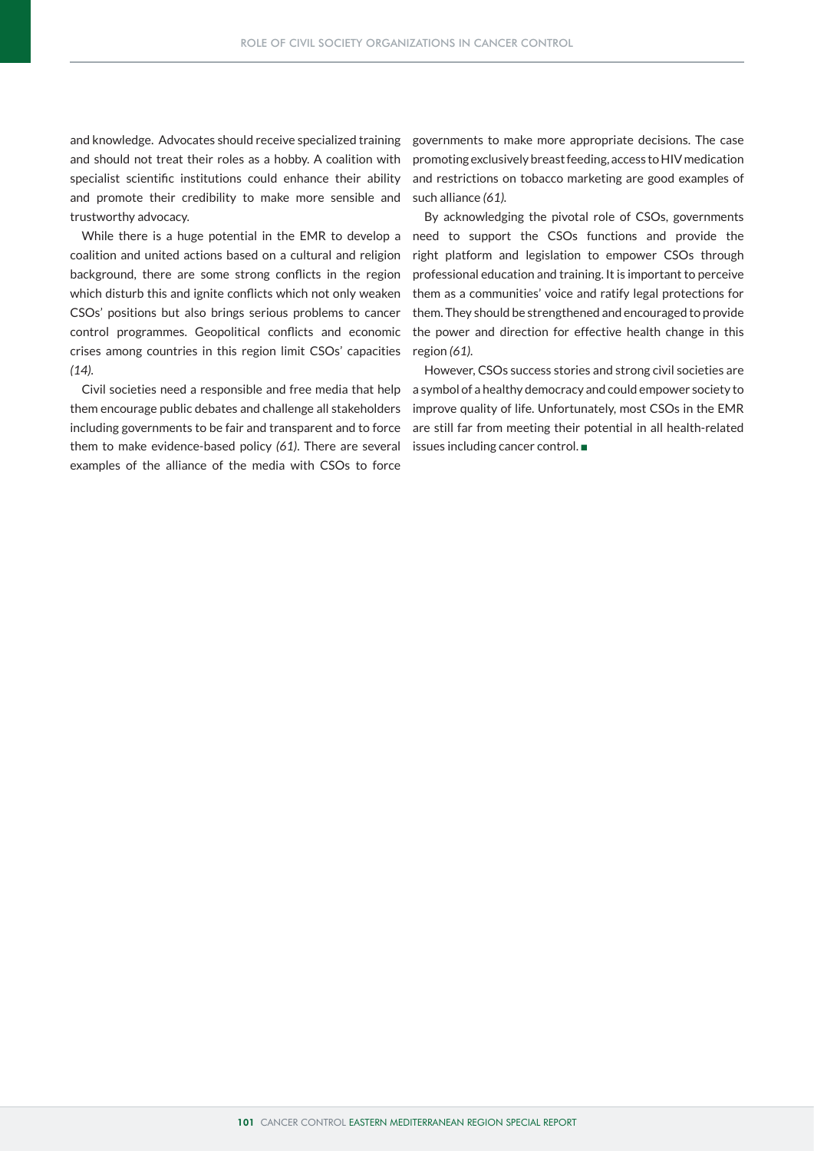and knowledge. Advocates should receive specialized training and should not treat their roles as a hobby. A coalition with specialist scientific institutions could enhance their ability and promote their credibility to make more sensible and trustworthy advocacy.

coalition and united actions based on a cultural and religion background, there are some strong conflicts in the region which disturb this and ignite conflicts which not only weaken CSOs' positions but also brings serious problems to cancer control programmes. Geopolitical conflicts and economic crises among countries in this region limit CSOs' capacities *(14).* 

them encourage public debates and challenge all stakeholders including governments to be fair and transparent and to force them to make evidence-based policy *(61)*. There are several examples of the alliance of the media with CSOs to force

governments to make more appropriate decisions. The case promoting exclusively breast feeding, access to HIV medication and restrictions on tobacco marketing are good examples of such alliance *(61).* 

By acknowledging the pivotal role of CSOs, governments While there is a huge potential in the EMR to develop a need to support the CSOs functions and provide the right platform and legislation to empower CSOs through professional education and training. It is important to perceive them as a communities' voice and ratify legal protections for them. They should be strengthened and encouraged to provide the power and direction for effective health change in this region *(61).*

However, CSOs success stories and strong civil societies are Civil societies need a responsible and free media that help a symbol of a healthy democracy and could empower society to improve quality of life. Unfortunately, most CSOs in the EMR are still far from meeting their potential in all health-related issues including cancer control.  $\blacksquare$